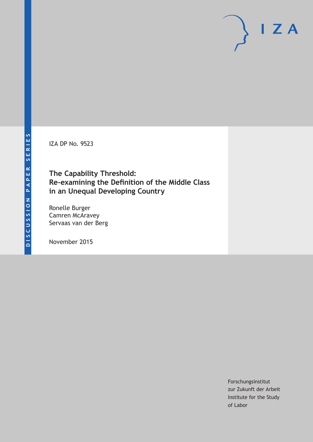IZA DP No. 9523

# **The Capability Threshold: Re-examining the Definition of the Middle Class in an Unequal Developing Country**

Ronelle Burger Camren McAravey Servaas van der Berg

November 2015

Forschungsinstitut zur Zukunft der Arbeit Institute for the Study of Labor

 $I Z A$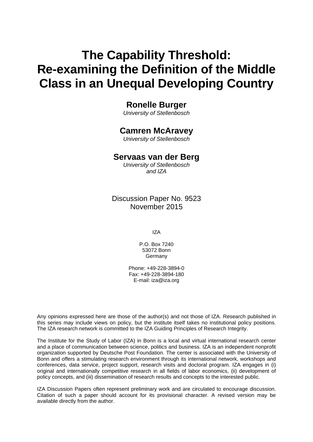# **The Capability Threshold: Re-examining the Definition of the Middle Class in an Unequal Developing Country**

# **Ronelle Burger**

*University of Stellenbosch* 

#### **Camren McAravey**

*University of Stellenbosch* 

#### **Servaas van der Berg**

*University of Stellenbosch and IZA*

Discussion Paper No. 9523 November 2015

IZA

P.O. Box 7240 53072 Bonn Germany

Phone: +49-228-3894-0 Fax: +49-228-3894-180 E-mail: iza@iza.org

Any opinions expressed here are those of the author(s) and not those of IZA. Research published in this series may include views on policy, but the institute itself takes no institutional policy positions. The IZA research network is committed to the IZA Guiding Principles of Research Integrity.

The Institute for the Study of Labor (IZA) in Bonn is a local and virtual international research center and a place of communication between science, politics and business. IZA is an independent nonprofit organization supported by Deutsche Post Foundation. The center is associated with the University of Bonn and offers a stimulating research environment through its international network, workshops and conferences, data service, project support, research visits and doctoral program. IZA engages in (i) original and internationally competitive research in all fields of labor economics, (ii) development of policy concepts, and (iii) dissemination of research results and concepts to the interested public.

IZA Discussion Papers often represent preliminary work and are circulated to encourage discussion. Citation of such a paper should account for its provisional character. A revised version may be available directly from the author.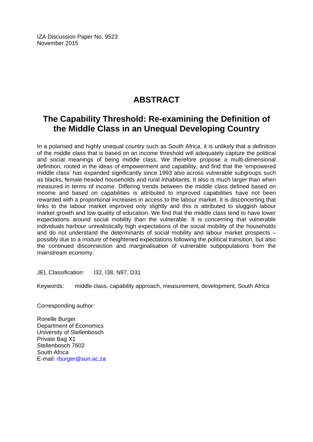IZA Discussion Paper No. 9523 November 2015

# **ABSTRACT**

# **The Capability Threshold: Re-examining the Definition of the Middle Class in an Unequal Developing Country**

In a polarised and highly unequal country such as South Africa, it is unlikely that a definition of the middle class that is based on an income threshold will adequately capture the political and social meanings of being middle class. We therefore propose a multi-dimensional definition, rooted in the ideas of empowerment and capability, and find that the 'empowered middle class' has expanded significantly since 1993 also across vulnerable subgroups such as blacks, female-headed households and rural inhabitants. It also is much larger than when measured in terms of income. Differing trends between the middle class defined based on income and based on capabilities is attributed to improved capabilities have not been rewarded with a proportional increases in access to the labour market. It is disconcerting that links to the labour market improved only slightly and this is attributed to sluggish labour market growth and low quality of education. We find that the middle class tend to have lower expectations around social mobility than the vulnerable. It is concerning that vulnerable individuals harbour unrealistically high expectations of the social mobility of the households and do not understand the determinants of social mobility and labour market prospects – possibly due to a mixture of heightened expectations following the political transition, but also the continued disconnection and marginalisation of vulnerable subpopulations from the mainstream economy.

JEL Classification: I32, I38, N97, D31

Keywords: middle class, capability approach, measurement, development, South Africa

Corresponding author:

Ronelle Burger Department of Economics University of Stellenbosch Private Bag X1 Stellenbosch 7602 South Africa E-mail: rburger@sun.ac.za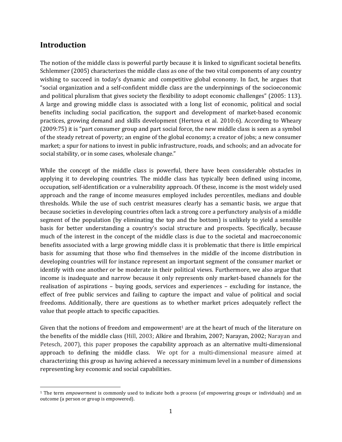#### **Introduction**

The notion of the middle class is powerful partly because it is linked to significant societal benefits. Schlemmer (2005) characterizes the middle class as one of the two vital components of any country wishing to succeed in today's dynamic and competitive global economy. In fact, he argues that "social organization and a self-confident middle class are the underpinnings of the socioeconomic and political pluralism that gives society the flexibility to adopt economic challenges" (2005: 113). A large and growing middle class is associated with a long list of economic, political and social benefits including social pacification, the support and development of market-based economic practices, growing demand and skills development (Hertova et al. 2010:6). According to Wheary (2009:75) it is "part consumer group and part social force, the new middle class is seen as a symbol of the steady retreat of poverty; an engine of the global economy; a creator of jobs; a new consumer market; a spur for nations to invest in public infrastructure, roads, and schools; and an advocate for social stability, or in some cases, wholesale change."

While the concept of the middle class is powerful, there have been considerable obstacles in applying it to developing countries. The middle class has typically been defined using income, occupation, self-identification or a vulnerability approach. Of these, income is the most widely used approach and the range of income measures employed includes percentiles, medians and double thresholds. While the use of such centrist measures clearly has a semantic basis, we argue that because societies in developing countries often lack a strong core a perfunctory analysis of a middle segment of the population (by eliminating the top and the bottom) is unlikely to yield a sensible basis for better understanding a country's social structure and prospects. Specifically, because much of the interest in the concept of the middle class is due to the societal and macroeconomic benefits associated with a large growing middle class it is problematic that there is little empirical basis for assuming that those who find themselves in the middle of the income distribution in developing countries will for instance represent an important segment of the consumer market or identify with one another or be moderate in their political views. Furthermore, we also argue that income is inadequate and narrow because it only represents only market-based channels for the realisation of aspirations – buying goods, services and experiences – excluding for instance, the effect of free public services and failing to capture the impact and value of political and social freedoms. Additionally, there are questions as to whether market prices adequately reflect the value that people attach to specific capacities.

Given that the notions of freedom and empowerment<sup>1</sup> are at the heart of much of the literature on the benefits of the middle class (Hill, 2003; Alkire and Ibrahim, 2007; Narayan, 2002; Narayan and Petesch, 2007), this paper proposes the capability approach as an alternative multi-dimensional approach to defining the middle class. We opt for a multi-dimensional measure aimed at characterizing this group as having achieved a necessary minimum level in a number of dimensions representing key economic and social capabilities.

 $\overline{\phantom{a}}$ <sup>1</sup> The term *empowerment* is commonly used to indicate both a process (of empowering groups or individuals) and an outcome (a person or group is empowered).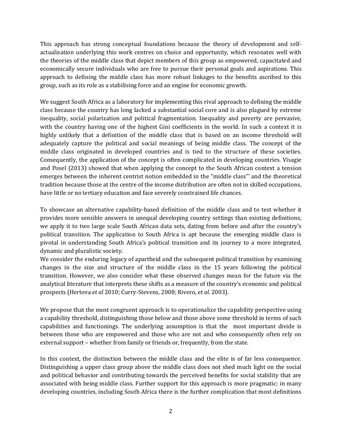This approach has strong conceptual foundations because the theory of development and selfactualisation underlying this work centres on choice and opportunity, which resonates well with the theories of the middle class that depict members of this group as empowered, capacitated and economically secure individuals who are free to pursue their personal goals and aspirations. This approach to defining the middle class has more robust linkages to the benefits ascribed to this group, such as its role as a stabilising force and an engine for economic growth.

We suggest South Africa as a laboratory for implementing this rival approach to defining the middle class because the country has long lacked a substantial social core and is also plagued by extreme inequality, social polarization and political fragmentation. Inequality and poverty are pervasive, with the country having one of the highest Gini coefficients in the world. In such a context it is highly unlikely that a definition of the middle class that is based on an income threshold will adequately capture the political and social meanings of being middle class. The concept of the middle class originated in developed countries and is tied to the structure of these societies. Consequently, the application of the concept is often complicated in developing countries. Visagie and Posel (2013) showed that when applying the concept to the South African context a tension emerges between the inherent centrist notion embedded in the "middle class"' and the theoretical tradition because those at the centre of the income distribution are often not in skilled occupations, have little or no tertiary education and face severely constrained life chances.

To showcase an alternative capability-based definition of the middle class and to test whether it provides more sensible answers in unequal developing country settings than existing definitions, we apply it to two large scale South African data sets, dating from before and after the country's political transition. The application to South Africa is apt because the emerging middle class is pivotal in understanding South Africa's political transition and its journey to a more integrated, dynamic and pluralistic society.

We consider the enduring legacy of apartheid and the subsequent political transition by examining changes in the size and structure of the middle class in the 15 years following the political transition. However, we also consider what these observed changes mean for the future via the analytical literature that interprets these shifts as a measure of the country's economic and political prospects (Hertova *et al* 2010; Curry-Stevens, 2008; Rivero, *et al.* 2003).

We propose that the most congruent approach is to operationalize the capability perspective using a capability threshold, distinguishing those below and those above some threshold in terms of such capabilities and functionings. The underlying assumption is that the most important divide is between those who are empowered and those who are not and who consequently often rely on external support – whether from family or friends or, frequently, from the state.

In this context, the distinction between the middle class and the elite is of far less consequence. Distinguishing a upper class group above the middle class does not shed much light on the social and political behavior and contributing towards the perceived benefits for social stability that are associated with being middle class. Further support for this approach is more pragmatic: in many developing countries, including South Africa there is the further complication that most definitions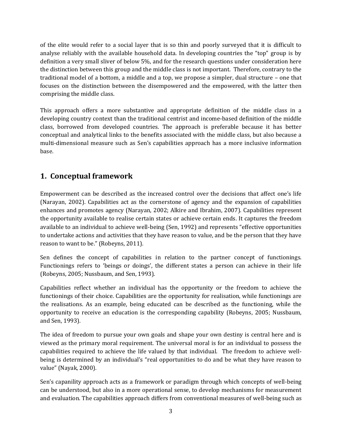of the elite would refer to a social layer that is so thin and poorly surveyed that it is difficult to analyse reliably with the available household data. In developing countries the "top" group is by definition a very small sliver of below 5%, and for the research questions under consideration here the distinction between this group and the middle class is not important. Therefore, contrary to the traditional model of a bottom, a middle and a top, we propose a simpler, dual structure – one that focuses on the distinction between the disempowered and the empowered, with the latter then comprising the middle class.

This approach offers a more substantive and appropriate definition of the middle class in a developing country context than the traditional centrist and income-based definition of the middle class, borrowed from developed countries. The approach is preferable because it has better conceptual and analytical links to the benefits associated with the middle class, but also because a multi-dimensional measure such as Sen's capabilities approach has a more inclusive information base.

## **1. Conceptual framework**

Empowerment can be described as the increased control over the decisions that affect one's life (Narayan, 2002). Capabilities act as the cornerstone of agency and the expansion of capabilities enhances and promotes agency (Narayan, 2002; Alkire and Ibrahim, 2007). Capabilities represent the opportunity available to realise certain states or achieve certain ends. It captures the freedom available to an individual to achieve well-being (Sen, 1992) and represents "effective opportunities to undertake actions and activities that they have reason to value, and be the person that they have reason to want to be." (Robeyns, 2011).

Sen defines the concept of capabilities in relation to the partner concept of functionings. Functionings refers to 'beings or doings', the different states a person can achieve in their life (Robeyns, 2005; Nussbaum, and Sen, 1993).

Capabilities reflect whether an individual has the opportunity or the freedom to achieve the functionings of their choice. Capabilities are the opportunity for realisation, while functionings are the realisations. As an example, being educated can be described as the functioning, while the opportunity to receive an education is the corresponding capability (Robeyns, 2005; Nussbaum, and Sen, 1993).

The idea of freedom to pursue your own goals and shape your own destiny is central here and is viewed as the primary moral requirement. The universal moral is for an individual to possess the capabilities required to achieve the life valued by that individual. The freedom to achieve wellbeing is determined by an individual's "real opportunities to do and be what they have reason to value" (Nayak, 2000).

Sen's capanility approach acts as a framework or paradigm through which concepts of well-being can be understood, but also in a more operational sense, to develop mechanisms for measurement and evaluation. The capabilities approach differs from conventional measures of well-being such as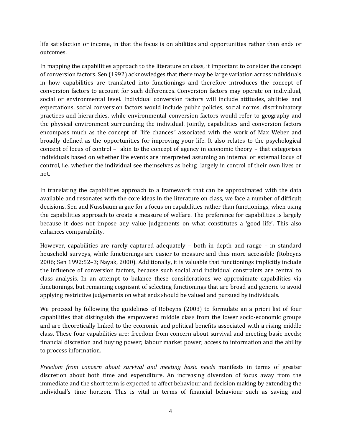life satisfaction or income, in that the focus is on abilities and opportunities rather than ends or outcomes.

In mapping the capabilities approach to the literature on class, it important to consider the concept of conversion factors. Sen (1992) acknowledges that there may be large variation across individuals in how capabilities are translated into functionings and therefore introduces the concept of conversion factors to account for such differences. Conversion factors may operate on individual, social or environmental level. Individual conversion factors will include attitudes, abilities and expectations, social conversion factors would include public policies, social norms, discriminatory practices and hierarchies, while environmental conversion factors would refer to geography and the physical environment surrounding the individual. Jointly, capabilities and conversion factors encompass much as the concept of "life chances" associated with the work of Max Weber and broadly defined as the opportunities for improving your life. It also relates to the psychological concept of locus of control – akin to the concept of agency in economic theory – that categorises individuals based on whether life events are interpreted assuming an internal or external locus of control, i.e. whether the individual see themselves as being largely in control of their own lives or not.

In translating the capabilities approach to a framework that can be approximated with the data available and resonates with the core ideas in the literature on class, we face a number of difficult decisions. Sen and Nussbaum argue for a focus on capabilities rather than functionings, when using the capabilities approach to create a measure of welfare. The preference for capabilities is largely because it does not impose any value judgements on what constitutes a 'good life'. This also enhances comparability.

However, capabilities are rarely captured adequately – both in depth and range – in standard household surveys, while functionings are easier to measure and thus more accessible (Robeyns 2006; Sen 1992:52–3; Nayak, 2000). Additionally, it is valuable that functionings implicitly include the influence of conversion factors, because such social and individual constraints are central to class analysis. In an attempt to balance these considerations we approximate capabilities via functionings, but remaining cognisant of selecting functionings that are broad and generic to avoid applying restrictive judgements on what ends should be valued and pursued by individuals.

We proceed by following the guidelines of Robeyns (2003) to formulate an a priori list of four capabilities that distinguish the empowered middle class from the lower socio-economic groups and are theoretically linked to the economic and political benefits associated with a rising middle class. These four capabilities are: freedom from concern about survival and meeting basic needs; financial discretion and buying power; labour market power; access to information and the ability to process information.

*Freedom from concern about survival and meeting basic needs* manifests in terms of greater discretion about both time and expenditure. An increasing diversion of focus away from the immediate and the short term is expected to affect behaviour and decision making by extending the individual's time horizon. This is vital in terms of financial behaviour such as saving and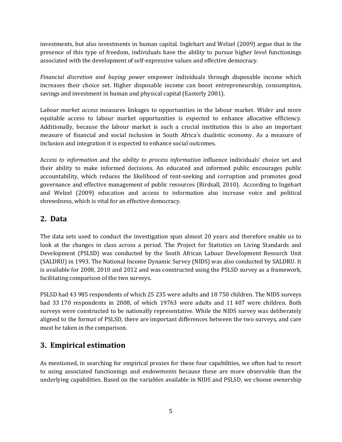investments, but also investments in human capital. Inglehart and Welzel (2009) argue that in the presence of this type of freedom, individuals have the ability to pursue higher level functionings associated with the development of self-expressive values and effective democracy.

*Financial discretion and buying power* empower individuals through disposable income which increases their choice set. Higher disposable income can boost entrepreneurship, consumption, savings and investment in human and physical capital (Easterly 2001).

L*abour market access* measures linkages to opportunities in the labour market. Wider and more equitable access to labour market opportunities is expected to enhance allocative efficiency. Additionally, because the labour market is such a crucial institution this is also an important measure of financial and social inclusion in South Africa's dualistic economy. As a measure of inclusion and integration it is expected to enhance social outcomes.

A*ccess to information* and the *ability to process information* influence individuals' choice set and their ability to make informed decisions. An educated and informed public encourages public accountability, which reduces the likelihood of rent-seeking and corruption and promotes good governance and effective management of public resources (Birdsall, 2010). According to Ingehart and Welzel (2009) education and access to information also increase voice and political shrewdness, which is vital for an effective democracy.

# **2. Data**

The data sets used to conduct the investigation span almost 20 years and therefore enable us to look at the changes in class across a period. The Project for Statistics on Living Standards and Development (PSLSD) was conducted by the South African Labour Development Research Unit (SALDRU) in 1993. The National Income Dynamic Survey (NIDS) was also conducted by SALDRU. It is available for 2008, 2010 and 2012 and was constructed using the PSLSD survey as a framework, facilitating comparison of the two surveys.

PSLSD had 43 985 respondents of which 25 235 were adults and 18 750 children. The NIDS surveys had 33 170 respondents in 2008, of which 19763 were adults and 11 407 were children. Both surveys were constructed to be nationally representative. While the NIDS survey was deliberately aligned to the format of PSLSD, there are important differences between the two surveys, and care must be taken in the comparison.

# **3. Empirical estimation**

As mentioned, in searching for empirical proxies for these four capabilities, we often had to resort to using associated functionings and endowments because these are more observable than the underlying capabilities. Based on the variables available in NIDS and PSLSD, we choose ownership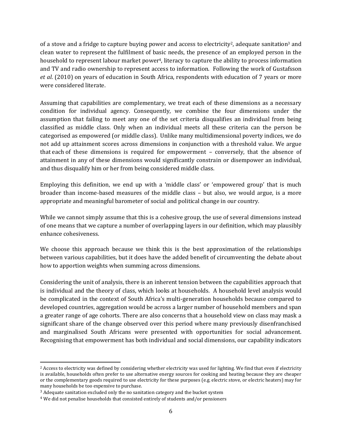of a stove and a fridge to capture buying power and access to electricity<sup>2</sup>, adequate sanitation<sup>3</sup> and clean water to represent the fulfilment of basic needs, the presence of an employed person in the household to represent labour market power4, literacy to capture the ability to process information and TV and radio ownership to represent access to information. Following the work of Gustafsson *et al*. (2010) on years of education in South Africa, respondents with education of 7 years or more were considered literate.

Assuming that capabilities are complementary, we treat each of these dimensions as a necessary condition for individual agency. Consequently, we combine the four dimensions under the assumption that failing to meet any one of the set criteria disqualifies an individual from being classified as middle class. Only when an individual meets all these criteria can the person be categorised as empowered (or middle class). Unlike many multidimensional poverty indices, we do not add up attainment scores across dimensions in conjunction with a threshold value. We argue that each of these dimensions is required for empowerment – conversely, that the absence of attainment in any of these dimensions would significantly constrain or disempower an individual, and thus disqualify him or her from being considered middle class.

Employing this definition, we end up with a 'middle class' or 'empowered group' that is much broader than income-based measures of the middle class – but also, we would argue, is a more appropriate and meaningful barometer of social and political change in our country.

While we cannot simply assume that this is a cohesive group, the use of several dimensions instead of one means that we capture a number of overlapping layers in our definition, which may plausibly enhance cohesiveness.

We choose this approach because we think this is the best approximation of the relationships between various capabilities, but it does have the added benefit of circumventing the debate about how to apportion weights when summing across dimensions.

Considering the unit of analysis, there is an inherent tension between the capabilities approach that is individual and the theory of class, which looks at households. A household level analysis would be complicated in the context of South Africa's multi-generation households because compared to developed countries, aggregation would be across a larger number of household members and span a greater range of age cohorts. There are also concerns that a household view on class may mask a significant share of the change observed over this period where many previously disenfranchised and marginalised South Africans were presented with opportunities for social advancement. Recognising that empowerment has both individual and social dimensions, our capability indicators

l

<sup>&</sup>lt;sup>2</sup> Access to electricity was defined by considering whether electricity was used for lighting. We find that even if electricity is available, households often prefer to use alternative energy sources for cooking and heating because they are cheaper or the complementary goods required to use electricity for these purposes (e.g. electric stove, or electric heaters) may for many households be too expensive to purchase.

<sup>3</sup> Adequate sanitation excluded only the no sanitation category and the bucket system

<sup>4</sup> We did not penalise households that consisted entirely of students and/or pensioners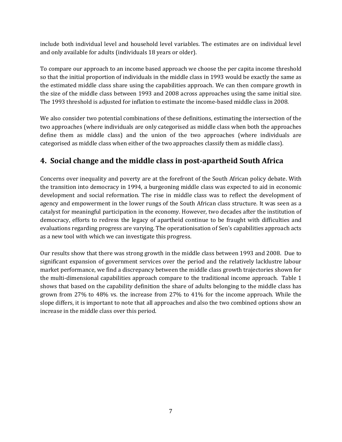include both individual level and household level variables. The estimates are on individual level and only available for adults (individuals 18 years or older).

To compare our approach to an income based approach we choose the per capita income threshold so that the initial proportion of individuals in the middle class in 1993 would be exactly the same as the estimated middle class share using the capabilities approach. We can then compare growth in the size of the middle class between 1993 and 2008 across approaches using the same initial size. The 1993 threshold is adjusted for inflation to estimate the income-based middle class in 2008.

We also consider two potential combinations of these definitions, estimating the intersection of the two approaches (where individuals are only categorised as middle class when both the approaches define them as middle class) and the union of the two approaches (where individuals are categorised as middle class when either of the two approaches classify them as middle class).

# **4. Social change and the middle class in post-apartheid South Africa**

Concerns over inequality and poverty are at the forefront of the South African policy debate. With the transition into democracy in 1994, a burgeoning middle class was expected to aid in economic development and social reformation. The rise in middle class was to reflect the development of agency and empowerment in the lower rungs of the South African class structure. It was seen as a catalyst for meaningful participation in the economy. However, two decades after the institution of democracy, efforts to redress the legacy of apartheid continue to be fraught with difficulties and evaluations regarding progress are varying. The operationisation of Sen's capabilities approach acts as a new tool with which we can investigate this progress.

Our results show that there was strong growth in the middle class between 1993 and 2008. Due to significant expansion of government services over the period and the relatively lacklustre labour market performance, we find a discrepancy between the middle class growth trajectories shown for the multi-dimensional capabilities approach compare to the traditional income approach. Table 1 shows that based on the capability definition the share of adults belonging to the middle class has grown from 27% to 48% vs. the increase from 27% to 41% for the income approach. While the slope differs, it is important to note that all approaches and also the two combined options show an increase in the middle class over this period.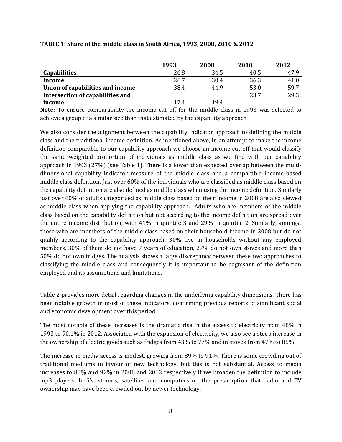|                                  | 1993 | 2008 | 2010 | 2012 |
|----------------------------------|------|------|------|------|
| <b>Capabilities</b>              | 26.8 | 34.5 | 40.5 | 47.9 |
| Income                           | 26.7 | 30.4 | 36.3 | 41.0 |
| Union of capabilities and income | 38.4 | 44.9 | 53.0 | 59.7 |
| Intersection of capabilities and |      |      | 23.7 | 29.3 |
| income                           | 17.4 | 19.4 |      |      |

**TABLE 1: Share of the middle class in South Africa, 1993, 2008, 2010 & 2012**

**Note**: To ensure comparability the income-cut off for the middle class in 1993 was selected to achieve a group of a similar size than that estimated by the capability approach

We also consider the alignment between the capability indicator approach to defining the middle class and the traditional income definition. As mentioned above, in an attempt to make the income definition comparable to our capability approach we choose an income cut-off that would classify the same weighted proportion of individuals as middle class as we find with our capability approach in 1993 (27%) (see Table 1). There is a lower than expected overlap between the multidimensional capability indicator measure of the middle class and a comparable income-based middle class definition. Just over 60% of the individuals who are classified as middle class based on the capability definition are also defined as middle class when using the income definition. Similarly just over 60% of adults categorised as middle class based on their income in 2008 are also viewed as middle class when applying the capability approach. Adults who are members of the middle class based on the capability definition but not according to the income definition are spread over the entire income distribution, with 41% in quintile 3 and 29% in quintile 2. Similarly, amongst those who are members of the middle class based on their household income in 2008 but do not qualify according to the capability approach, 30% live in households without any employed members, 30% of them do not have 7 years of education, 27% do not own stoves and more than 50% do not own fridges. The analysis shows a large discrepancy between these two approaches to classifying the middle class and consequently it is important to be cognisant of the definition employed and its assumptions and limitations.

Table 2 provides more detail regarding changes in the underlying capability dimensions. There has been notable growth in most of these indicators, confirming previous reports of significant social and economic development over this period.

The most notable of these increases is the dramatic rise in the access to electricity from 48% in 1993 to 90.1% in 2012. Associated with the expansion of electricity, we also see a steep increase in the ownership of electric goods such as fridges from 43% to 77% and in stoves from 47% to 85%.

The increase in media access is modest, growing from 89% to 91%. There is some crowding out of traditional mediums in favour of new technology, but this is not substantial. Access to media increases to 88% and 92% in 2008 and 2012 respectively if we broaden the definition to include mp3 players, hi-fi's, stereos, satellites and computers on the presumption that radio and TV ownership may have been crowded out by newer technology.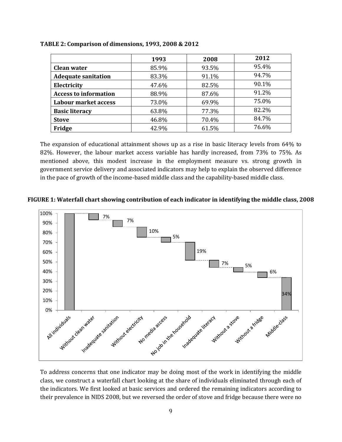|                              | 1993  | 2008  | 2012  |
|------------------------------|-------|-------|-------|
| Clean water                  | 85.9% | 93.5% | 95.4% |
| <b>Adequate sanitation</b>   | 83.3% | 91.1% | 94.7% |
| Electricity                  | 47.6% | 82.5% | 90.1% |
| <b>Access to information</b> | 88.9% | 87.6% | 91.2% |
| Labour market access         | 73.0% | 69.9% | 75.0% |
| <b>Basic literacy</b>        | 63.8% | 77.3% | 82.2% |
| <b>Stove</b>                 | 46.8% | 70.4% | 84.7% |
| Fridge                       | 42.9% | 61.5% | 76.6% |

#### **TABLE 2: Comparison of dimensions, 1993, 2008 & 2012**

The expansion of educational attainment shows up as a rise in basic literacy levels from 64% to 82%. However, the labour market access variable has hardly increased, from 73% to 75%. As mentioned above, this modest increase in the employment measure vs. strong growth in government service delivery and associated indicators may help to explain the observed difference in the pace of growth of the income-based middle class and the capability-based middle class.

#### **FIGURE 1: Waterfall chart showing contribution of each indicator in identifying the middle class, 2008**



To address concerns that one indicator may be doing most of the work in identifying the middle class, we construct a waterfall chart looking at the share of individuals eliminated through each of the indicators. We first looked at basic services and ordered the remaining indicators according to their prevalence in NIDS 2008, but we reversed the order of stove and fridge because there were no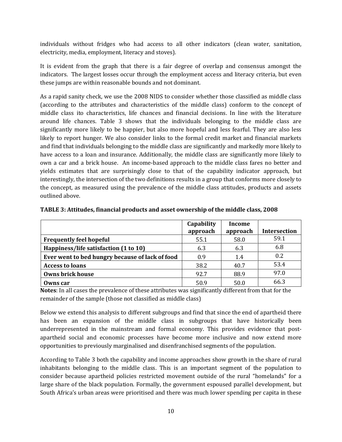individuals without fridges who had access to all other indicators (clean water, sanitation, electricity, media, employment, literacy and stoves).

It is evident from the graph that there is a fair degree of overlap and consensus amongst the indicators. The largest losses occur through the employment access and literacy criteria, but even these jumps are within reasonable bounds and not dominant.

As a rapid sanity check, we use the 2008 NIDS to consider whether those classified as middle class (according to the attributes and characteristics of the middle class) conform to the concept of middle class ito characteristics, life chances and financial decisions. In line with the literature around life chances. Table 3 shows that the individuals belonging to the middle class are significantly more likely to be happier, but also more hopeful and less fearful. They are also less likely to report hunger. We also consider links to the formal credit market and financial markets and find that individuals belonging to the middle class are significantly and markedly more likely to have access to a loan and insurance. Additionally, the middle class are significantly more likely to own a car and a brick house. An income-based approach to the middle class fares no better and yields estimates that are surprisingly close to that of the capability indicator approach, but interestingly, the intersection of the two definitions results in a group that conforms more closely to the concept, as measured using the prevalence of the middle class attitudes, products and assets outlined above.

|                                                 | Capability<br>approach | Income<br>approach | <b>Intersection</b> |
|-------------------------------------------------|------------------------|--------------------|---------------------|
| <b>Frequently feel hopeful</b>                  | 55.1                   | 58.0               | 59.1                |
| Happiness/life satisfaction (1 to 10)           | 6.3                    | 6.3                | 6.8                 |
| Ever went to bed hungry because of lack of food | 0.9                    | 1.4                | 0.2                 |
| <b>Access to loans</b>                          | 38.2                   | 40.7               | 53.4                |
| <b>Owns brick house</b>                         | 92.7                   | 88.9               | 97.0                |
| Owns car                                        | 50.9                   | 50.0               | 66.3                |

**TABLE 3: Attitudes, financial products and asset ownership of the middle class, 2008**

**Notes**: In all cases the prevalence of these attributes was significantly different from that for the remainder of the sample (those not classified as middle class)

Below we extend this analysis to different subgroups and find that since the end of apartheid there has been an expansion of the middle class in subgroups that have historically been underrepresented in the mainstream and formal economy. This provides evidence that postapartheid social and economic processes have become more inclusive and now extend more opportunities to previously marginalised and disenfranchised segments of the population.

According to Table 3 both the capability and income approaches show growth in the share of rural inhabitants belonging to the middle class. This is an important segment of the population to consider because apartheid policies restricted movement outside of the rural "homelands" for a large share of the black population. Formally, the government espoused parallel development, but South Africa's urban areas were prioritised and there was much lower spending per capita in these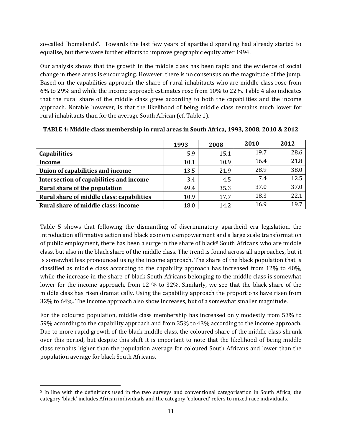so-called "homelands". Towards the last few years of apartheid spending had already started to equalise, but there were further efforts to improve geographic equity after 1994.

Our analysis shows that the growth in the middle class has been rapid and the evidence of social change in these areas is encouraging. However, there is no consensus on the magnitude of the jump. Based on the capabilities approach the share of rural inhabitants who are middle class rose from 6% to 29% and while the income approach estimates rose from 10% to 22%. Table 4 also indicates that the rural share of the middle class grew according to both the capabilities and the income approach. Notable however, is that the likelihood of being middle class remains much lower for rural inhabitants than for the average South African (cf. Table 1).

|                                           | 1993 | 2008 | 2010 | 2012 |
|-------------------------------------------|------|------|------|------|
| <b>Capabilities</b>                       | 5.9  | 15.1 | 19.7 | 28.6 |
| Income                                    | 10.1 | 10.9 | 16.4 | 21.8 |
| Union of capabilities and income          | 13.5 | 21.9 | 28.9 | 38.0 |
| Intersection of capabilities and income   | 3.4  | 4.5  | 7.4  | 12.5 |
| Rural share of the population             | 49.4 | 35.3 | 37.0 | 37.0 |
| Rural share of middle class: capabilities | 10.9 | 17.7 | 18.3 | 22.1 |
| Rural share of middle class: income       | 18.0 | 14.2 | 16.9 | 19.7 |

**TABLE 4: Middle class membership in rural areas in South Africa, 1993, 2008, 2010 & 2012**

Table 5 shows that following the dismantling of discriminatory apartheid era legislation, the introduction affirmative action and black economic empowerment and a large scale transformation of public employment, there has been a surge in the share of black<sup>5</sup> South Africans who are middle class, but also in the black share of the middle class. The trend is found across all approaches, but it is somewhat less pronounced using the income approach. The share of the black population that is classified as middle class according to the capability approach has increased from 12% to 40%, while the increase in the share of black South Africans belonging to the middle class is somewhat lower for the income approach, from 12 % to 32%. Similarly, we see that the black share of the middle class has risen dramatically. Using the capability approach the proportions have risen from 32% to 64%. The income approach also show increases, but of a somewhat smaller magnitude.

For the coloured population, middle class membership has increased only modestly from 53% to 59% according to the capability approach and from 35% to 43% according to the income approach. Due to more rapid growth of the black middle class, the coloured share of the middle class shrunk over this period, but despite this shift it is important to note that the likelihood of being middle class remains higher than the population average for coloured South Africans and lower than the population average for black South Africans.

 $\overline{\phantom{a}}$ <sup>5</sup> In line with the definitions used in the two surveys and conventional categorisation in South Africa, the category 'black' includes African individuals and the category 'coloured' refers to mixed race individuals.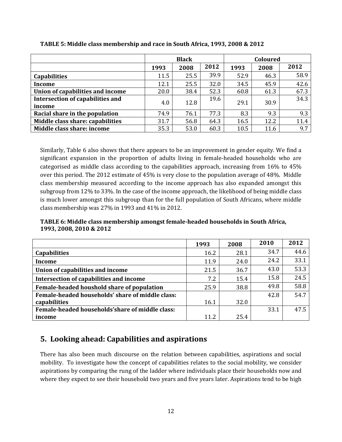|                                            | <b>Black</b> |      |      | <b>Coloured</b> |      |      |
|--------------------------------------------|--------------|------|------|-----------------|------|------|
|                                            | 1993         | 2008 | 2012 | 1993            | 2008 | 2012 |
| <b>Capabilities</b>                        | 11.5         | 25.5 | 39.9 | 52.9            | 46.3 | 58.9 |
| Income                                     | 12.1         | 25.5 | 32.0 | 34.5            | 45.9 | 42.6 |
| Union of capabilities and income           | 20.0         | 38.4 | 52.3 | 60.8            | 61.3 | 67.3 |
| Intersection of capabilities and<br>income | 4.0          | 12.8 | 19.6 | 29.1            | 30.9 | 34.3 |
| Racial share in the population             | 74.9         | 76.1 | 77.3 | 8.3             | 9.3  | 9.3  |
| Middle class share: capabilities           | 31.7         | 56.8 | 64.3 | 16.5            | 12.2 | 11.4 |
| Middle class share: income                 | 35.3         | 53.0 | 60.3 | 10.5            | 11.6 | 9.7  |

**TABLE 5: Middle class membership and race in South Africa, 1993, 2008 & 2012**

Similarly, Table 6 also shows that there appears to be an improvement in gender equity. We find a significant expansion in the proportion of adults living in female-headed households who are categorised as middle class according to the capabilities approach, increasing from 16% to 45% over this period. The 2012 estimate of 45% is very close to the population average of 48%. Middle class membership measured according to the income approach has also expanded amongst this subgroup from 12% to 33%. In the case of the income approach, the likelihood of being middle class is much lower amongst this subgroup than for the full population of South Africans, where middle class membership was 27% in 1993 and 41% in 2012.

**TABLE 6: Middle class membership amongst female-headed households in South Africa, 1993, 2008, 2010 & 2012**

|                                                  | 1993 | 2008 | 2010 | 2012 |
|--------------------------------------------------|------|------|------|------|
| <b>Capabilities</b>                              | 16.2 | 28.1 | 34.7 | 44.6 |
| Income                                           | 11.9 | 24.0 | 24.2 | 33.1 |
| Union of capabilities and income                 | 21.5 | 36.7 | 43.0 | 53.3 |
| Intersection of capabilities and income          | 7.2  | 15.4 | 15.8 | 24.5 |
| Female-headed houshold share of population       | 25.9 | 38.8 | 49.8 | 58.8 |
| Female-headed households' share of middle class: |      |      | 42.8 | 54.7 |
| capabilities                                     | 16.1 | 32.0 |      |      |
| Female-headed households's hare of middle class: |      |      | 33.1 | 47.5 |
| income                                           | 11.2 | 25.4 |      |      |

#### **5. Looking ahead: Capabilities and aspirations**

There has also been much discourse on the relation between capabilities, aspirations and social mobility. To investigate how the concept of capabilities relates to the social mobility, we consider aspirations by comparing the rung of the ladder where individuals place their households now and where they expect to see their household two years and five years later. Aspirations tend to be high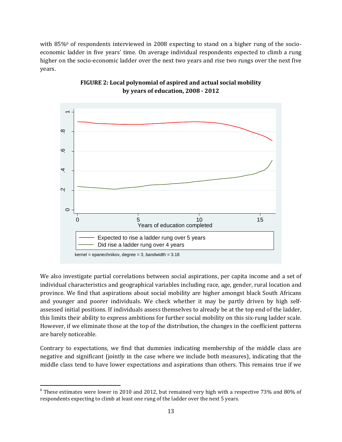with  $85\%$ <sup>6</sup> of respondents interviewed in 2008 expecting to stand on a higher rung of the socioeconomic ladder in five years' time. On average individual respondents expected to climb a rung higher on the socio-economic ladder over the next two years and rise two rungs over the next five years.



#### **FIGURE 2: Local polynomial of aspired and actual social mobility by years of education, 2008 - 2012**

We also investigate partial correlations between social aspirations, per capita income and a set of individual characteristics and geographical variables including race, age, gender, rural location and province. We find that aspirations about social mobility are higher amongst black South Africans and younger and poorer individuals. We check whether it may be partly driven by high selfassessed initial positions. If individuals assess themselves to already be at the top end of the ladder, this limits their ability to express ambitions for further social mobility on this six-rung ladder scale. However, if we eliminate those at the top of the distribution, the changes in the coefficient patterns are barely noticeable.

Contrary to expectations, we find that dummies indicating membership of the middle class are negative and significant (jointly in the case where we include both measures), indicating that the middle class tend to have lower expectations and aspirations than others. This remains true if we

 $\overline{\phantom{a}}$ 

 $^6$  These estimates were lower in 2010 and 2012, but remained very high with a respective 73% and 80% of respondents expecting to climb at least one rung of the ladder over the next 5 years.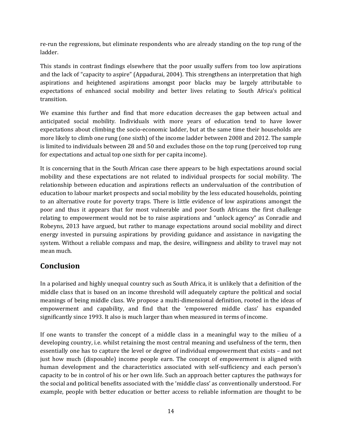re-run the regressions, but eliminate respondents who are already standing on the top rung of the ladder.

This stands in contrast findings elsewhere that the poor usually suffers from too low aspirations and the lack of "capacity to aspire" (Appadurai, 2004). This strengthens an interpretation that high aspirations and heightened aspirations amongst poor blacks may be largely attributable to expectations of enhanced social mobility and better lives relating to South Africa's political transition.

We examine this further and find that more education decreases the gap between actual and anticipated social mobility. Individuals with more years of education tend to have lower expectations about climbing the socio-economic ladder, but at the same time their households are more likely to climb one rung (one sixth) of the income ladder between 2008 and 2012. The sample is limited to individuals between 28 and 50 and excludes those on the top rung (perceived top rung for expectations and actual top one sixth for per capita income).

It is concerning that in the South African case there appears to be high expectations around social mobility and these expectations are not related to individual prospects for social mobility. The relationship between education and aspirations reflects an undervaluation of the contribution of education to labour market prospects and social mobility by the less educated households, pointing to an alternative route for poverty traps. There is little evidence of low aspirations amongst the poor and thus it appears that for most vulnerable and poor South Africans the first challenge relating to empowerment would not be to raise aspirations and "unlock agency" as Conradie and Robeyns, 2013 have argued, but rather to manage expectations around social mobility and direct energy invested in pursuing aspirations by providing guidance and assistance in navigating the system. Without a reliable compass and map, the desire, willingness and ability to travel may not mean much.

## **Conclusion**

In a polarised and highly unequal country such as South Africa, it is unlikely that a definition of the middle class that is based on an income threshold will adequately capture the political and social meanings of being middle class. We propose a multi-dimensional definition, rooted in the ideas of empowerment and capability, and find that the 'empowered middle class' has expanded significantly since 1993. It also is much larger than when measured in terms of income.

If one wants to transfer the concept of a middle class in a meaningful way to the milieu of a developing country, i.e. whilst retaining the most central meaning and usefulness of the term, then essentially one has to capture the level or degree of individual empowerment that exists – and not just how much (disposable) income people earn. The concept of empowerment is aligned with human development and the characteristics associated with self-sufficiency and each person's capacity to be in control of his or her own life. Such an approach better captures the pathways for the social and political benefits associated with the 'middle class' as conventionally understood. For example, people with better education or better access to reliable information are thought to be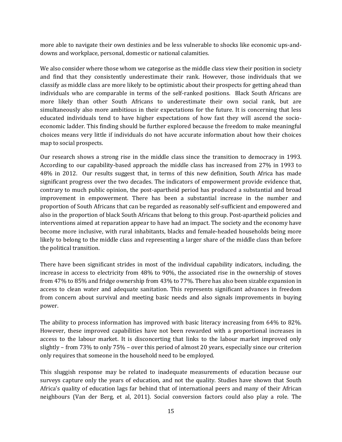more able to navigate their own destinies and be less vulnerable to shocks like economic ups-anddowns and workplace, personal, domestic or national calamities.

We also consider where those whom we categorise as the middle class view their position in society and find that they consistently underestimate their rank. However, those individuals that we classify as middle class are more likely to be optimistic about their prospects for getting ahead than individuals who are comparable in terms of the self-ranked positions. Black South Africans are more likely than other South Africans to underestimate their own social rank, but are simultaneously also more ambitious in their expectations for the future. It is concerning that less educated individuals tend to have higher expectations of how fast they will ascend the socioeconomic ladder. This finding should be further explored because the freedom to make meaningful choices means very little if individuals do not have accurate information about how their choices map to social prospects.

Our research shows a strong rise in the middle class since the transition to democracy in 1993. According to our capability-based approach the middle class has increased from 27% in 1993 to 48% in 2012. Our results suggest that, in terms of this new definition, South Africa has made significant progress over the two decades. The indicators of empowerment provide evidence that, contrary to much public opinion, the post-apartheid period has produced a substantial and broad improvement in empowerment. There has been a substantial increase in the number and proportion of South Africans that can be regarded as reasonably self-sufficient and empowered and also in the proportion of black South Africans that belong to this group. Post-apartheid policies and interventions aimed at reparation appear to have had an impact. The society and the economy have become more inclusive, with rural inhabitants, blacks and female-headed households being more likely to belong to the middle class and representing a larger share of the middle class than before the political transition.

There have been significant strides in most of the individual capability indicators, including, the increase in access to electricity from 48% to 90%, the associated rise in the ownership of stoves from 47% to 85% and fridge ownership from 43% to 77%. There has also been sizable expansion in access to clean water and adequate sanitation. This represents significant advances in freedom from concern about survival and meeting basic needs and also signals improvements in buying power.

The ability to process information has improved with basic literacy increasing from 64% to 82%. However, these improved capabilities have not been rewarded with a proportional increases in access to the labour market. It is disconcerting that links to the labour market improved only slightly – from 73% to only 75% – over this period of almost 20 years, especially since our criterion only requires that someone in the household need to be employed.

This sluggish response may be related to inadequate measurements of education because our surveys capture only the years of education, and not the quality. Studies have shown that South Africa's quality of education lags far behind that of international peers and many of their African neighbours (Van der Berg, et al, 2011). Social conversion factors could also play a role. The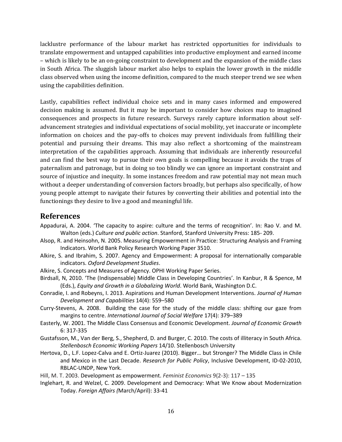lacklustre performance of the labour market has restricted opportunities for individuals to translate empowerment and untapped capabilities into productive employment and earned income – which is likely to be an on-going constraint to development and the expansion of the middle class in South Africa. The sluggish labour market also helps to explain the lower growth in the middle class observed when using the income definition, compared to the much steeper trend we see when using the capabilities definition.

Lastly, capabilities reflect individual choice sets and in many cases informed and empowered decision making is assumed. But it may be important to consider how choices map to imagined consequences and prospects in future research. Surveys rarely capture information about selfadvancement strategies and individual expectations of social mobility, yet inaccurate or incomplete information on choices and the pay-offs to choices may prevent individuals from fulfilling their potential and pursuing their dreams. This may also reflect a shortcoming of the mainstream interpretation of the capabilities approach. Assuming that individuals are inherently resourceful and can find the best way to pursue their own goals is compelling because it avoids the traps of paternalism and patronage, but in doing so too blindly we can ignore an important constraint and source of injustice and inequity. In some instances freedom and raw potential may not mean much without a deeper understanding of conversion factors broadly, but perhaps also specifically, of how young people attempt to navigate their futures by converting their abilities and potential into the functionings they desire to live a good and meaningful life.

### **References**

- Appadurai, A. 2004. 'The capacity to aspire: culture and the terms of recognition'. In: Rao V. and M. Walton (eds.) *Culture and public action*. Stanford, Stanford University Press: 185- 209.
- Alsop, R. and Heinsohn, N. 2005. Measuring Empowerment in Practice: Structuring Analysis and Framing Indicators. World Bank Policy Research Working Paper 3510.
- Alkire, S. and Ibrahim, S. 2007. Agency and Empowerment: A proposal for internationally comparable indicators. *Oxford Development Studies*.
- Alkire, S. Concepts and Measures of Agency. OPHI Working Paper Series.
- Birdsall, N, 2010. 'The (Indispensable) Middle Class in Developing Countries'. In Kanbur, R & Spence, M (Eds.), *Equity and Growth in a Globalizing World*. World Bank, Washington D.C.
- Conradie, I. and Robeyns, I. 2013. Aspirations and Human Development Interventions. *Journal of Human Development and Capabilities* 14(4): 559–580
- Curry-Stevens, A. 2008. Building the case for the study of the middle class: shifting our gaze from margins to centre. *International Journal of Social Welfare* 17(4): 379–389
- Easterly, W. 2001. The Middle Class Consensus and Economic Development. *Journal of Economic Growth* 6: 317-335
- Gustafsson, M., Van der Berg, S., Shepherd, D. and Burger, C. 2010. The costs of illiteracy in South Africa. *Stellenbosch Economic Working Papers* 14/10. Stellenbosch University
- Hertova, D., L.F. Lopez-Calva and E. Ortiz-Juarez (2010). Bigger… but Stronger? The Middle Class in Chile and Mexico in the Last Decade. *Research for Public Policy*, Inclusive Development, ID-02-2010, RBLAC-UNDP, New York.

Hill, M. T. 2003. Development as empowerment. *Feminist Economics* 9(2-3): 117 – 135

Inglehart, R. and Welzel, C. 2009. Development and Democracy: What We Know about Modernization Today. *Foreign Affairs (*March/April): 33-41